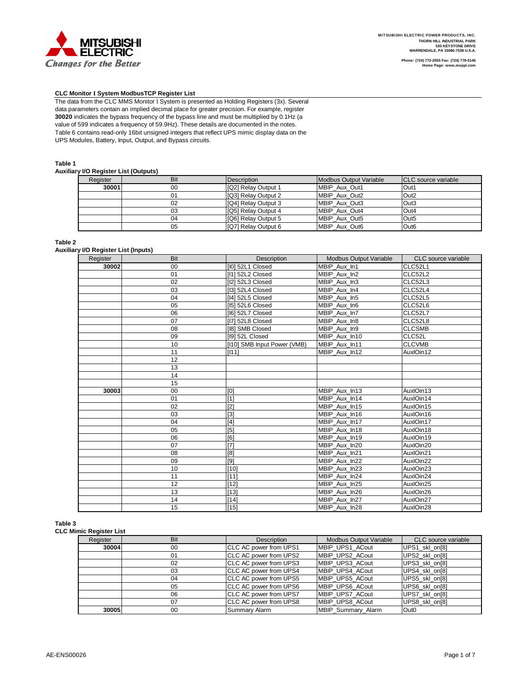

#### **CLC Monitor I System ModbusTCP Register List**

The data from the CLC MMS Monitor I System is presented as Holding Registers (3x). Several data parameters contain an implied decimal place for greater precision. For example, register **30020** indicates the bypass frequency of the bypass line and must be multiplied by 0.1Hz (a value of 599 indicates a frequency of 59.9Hz). These details are documented in the notes. Table 6 contains read-only 16bit unsigned integers that reflect UPS mimic display data on the UPS Modules, Battery, Input, Output, and Bypass circuits.

#### **Table 1**

#### **Auxiliary I/O Register List (Outputs)**

| . .      |     |                            |                        |                             |
|----------|-----|----------------------------|------------------------|-----------------------------|
| Register | Bit | Description                | Modbus Output Variable | <b>ICLC</b> source variable |
| 30001    | 00  | <b>IQ21 Relay Output 1</b> | MBIP Aux Out1          | Out1                        |
|          | 01  | [Q3] Relay Output 2        | MBIP Aux Out2          | Out <sub>2</sub>            |
|          | 02  | [Q4] Relay Output 3        | MBIP Aux Out3          | Out <sub>3</sub>            |
|          | 03  | [Q5] Relay Output 4        | MBIP Aux Out4          | Out4                        |
|          | 04  | IQ61 Relay Output 5        | MBIP Aux Out5          | Out <sub>5</sub>            |
|          | 05  | [Q7] Relay Output 6        | MBIP Aux Out6          | Out <sub>6</sub>            |

### **Table 2**

**Auxiliary I/O Register List (Inputs)**

| Register | Bit | Description                 | <b>Modbus Output Variable</b> | CLC source variable |
|----------|-----|-----------------------------|-------------------------------|---------------------|
| 30002    | 00  | [I0] 52L1 Closed            | MBIP Aux_In1                  | CLC52L1             |
|          | 01  | [I1] 52L2 Closed            | MBIP Aux In2                  | CLC52L2             |
|          | 02  | [I2] 52L3 Closed            | MBIP Aux In3                  | CLC52L3             |
|          | 03  | [I3] 52L4 Closed            | MBIP Aux In4                  | CLC52L4             |
|          | 04  | [I4] 52L5 Closed            | MBIP Aux In5                  | CLC52L5             |
|          | 05  | [15] 52L6 Closed            | MBIP Aux In6                  | CLC52L6             |
|          | 06  | [16] 52L7 Closed            | MBIP Aux In7                  | CLC52L7             |
|          | 07  | [I7] 52L8 Closed            | MBIP_Aux_In8                  | CLC52L8             |
|          | 08  | [18] SMB Closed             | MBIP_Aux_In9                  | <b>CLCSMB</b>       |
|          | 09  | [I9] 52L Closed             | MBIP Aux In10                 | CLC52L              |
|          | 10  | [I10] SMB Input Power (VMB) | MBIP_Aux_In11                 | <b>CLCVMB</b>       |
|          | 11  | [111]                       | MBIP Aux In12                 | AuxlOin12           |
|          | 12  |                             |                               |                     |
|          | 13  |                             |                               |                     |
|          | 14  |                             |                               |                     |
|          | 15  |                             |                               |                     |
| 30003    | 00  | [0]                         | MBIP Aux In13                 | AuxlOin13           |
|          | 01  | [1]                         | MBIP_Aux_In14                 | AuxlOin14           |
|          | 02  | $[2]$                       | MBIP Aux In15                 | AuxlOin15           |
|          | 03  | $[3]$                       | MBIP Aux In16                 | AuxlOin16           |
|          | 04  | $[4]$                       | MBIP Aux In17                 | AuxlOin17           |
|          | 05  | [5]                         | MBIP Aux In18                 | AuxlOin18           |
|          | 06  | [6]                         | MBIP_Aux_In19                 | AuxlOin19           |
|          | 07  | [7]                         | MBIP Aux In20                 | AuxIOin20           |
|          | 08  | [8]                         | MBIP Aux In21                 | AuxIOin21           |
|          | 09  | [9]                         | MBIP Aux In22                 | AuxlOin22           |
|          | 10  | $[10]$                      | MBIP_Aux_In23                 | AuxlOin23           |
|          | 11  | $[11]$                      | MBIP Aux In24                 | AuxlOin24           |
|          | 12  | $[12]$                      | MBIP_Aux_In25                 | AuxIOin25           |
|          | 13  | $[13]$                      | MBIP_Aux_In26                 | AuxIOin26           |
|          | 14  | $[14]$                      | MBIP Aux In27                 | AuxlOin27           |
|          | 15  | $[15]$                      | MBIP Aux In28                 | AuxlOin28           |

#### **Table 3**

**CLC Mimic Register List**

| muno negister mst |     |                                |                        |                     |
|-------------------|-----|--------------------------------|------------------------|---------------------|
| Register          | Bit | Description                    | Modbus Output Variable | CLC source variable |
| 30004             | 00  | <b>CLC AC power from UPS1</b>  | MBIP UPS1 ACout        | UPS1 skl on[8]      |
|                   | 01  | CLC AC power from UPS2         | MBIP UPS2 ACout        | UPS2 skl on[8]      |
|                   | 02  | <b>ICLC AC power from UPS3</b> | MBIP UPS3 ACout        | UPS3 skl on[8]      |
|                   | 03  | CLC AC power from UPS4         | MBIP UPS4 ACout        | UPS4 skl on[8]      |
|                   | 04  | <b>CLC AC power from UPS5</b>  | MBIP UPS5 ACout        | UPS5 skl on[8]      |
|                   | 05  | CLC AC power from UPS6         | MBIP UPS6 ACout        | UPS6 skl on[8]      |
|                   | 06  | CLC AC power from UPS7         | MBIP UPS7 ACout        | UPS7 skl on[8]      |
|                   | 07  | CLC AC power from UPS8         | MBIP UPS8 ACout        | UPS8 skl on[8]      |
| 30005             | 00  | <b>Summary Alarm</b>           | MBIP Summary Alarm     | Out <sub>0</sub>    |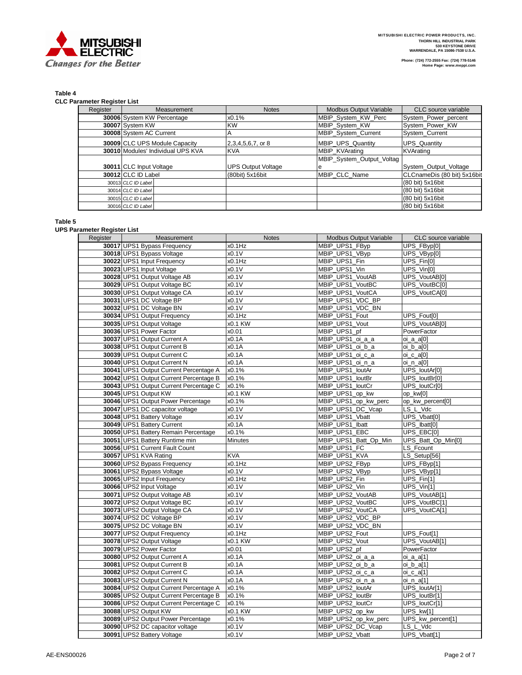

## **Table 4**

**CLC Parameter Register List**

| Register | Measurement                       | <b>Notes</b>              | <b>Modbus Output Variable</b> | CLC source variable         |
|----------|-----------------------------------|---------------------------|-------------------------------|-----------------------------|
|          | 30006 System KW Percentage        | x0.1%                     | MBIP_System_KW_Perc           | System Power percent        |
|          | 30007 System KW                   | <b>KW</b>                 | MBIP_System_KW                | System_Power_KW             |
|          | 30008 System AC Current           |                           | MBIP System Current           | System Current              |
|          | 30009 CLC UPS Module Capacity     | 2,3,4,5,6,7, or 8         | <b>MBIP UPS Quantity</b>      | <b>UPS Quantity</b>         |
|          | 30010 Modules' Individual UPS KVA | <b>KVA</b>                | <b>MBIP KVArating</b>         | KVArating                   |
|          |                                   |                           | MBIP_System_Output_Voltag     |                             |
|          | 30011 CLC Input Voltage           | <b>UPS Output Voltage</b> |                               | System Output Voltage       |
|          | 30012 CLC ID Label                | (80bit) 5x16bit           | MBIP CLC Name                 | CLCnameDis (80 bit) 5x16bit |
|          | 30013 CLC ID Label                |                           |                               | (80 bit) 5x16bit            |
|          | 30014 CLC ID Label                |                           |                               | (80 bit) 5x16bit            |
|          | 30015 CLC ID Label                |                           |                               | (80 bit) 5x16bit            |
|          | 30016 CLC ID Label                |                           |                               | (80 bit) 5x16bit            |

**Table 5**

**UPS Parameter Register List**

| Register | Measurement                                          | <b>Notes</b>     | <b>Modbus Output Variable</b>  | CLC source variable          |
|----------|------------------------------------------------------|------------------|--------------------------------|------------------------------|
|          | 30017 UPS1 Bypass Frequency                          | x0.1Hz           | MBIP_UPS1_FByp                 | UPS FByp[0]                  |
|          | 30018 UPS1 Bypass Voltage                            | x0.1V            | MBIP UPS1 VByp                 | UPS_VByp[0]                  |
|          | 30022 UPS1 Input Frequency                           | x0.1Hz           | MBIP_UPS1_Fin                  | UPS_Fin[0]                   |
|          | 30023 UPS1 Input Voltage                             | x0.1V            | MBIP_UPS1_Vin                  | UPS_Vin[0]                   |
|          | 30028 UPS1 Output Voltage AB                         | x0.1V            | MBIP UPS1 VoutAB               | UPS_VoutAB[0]                |
|          | 30029 UPS1 Output Voltage BC                         | x0.1V            | MBIP UPS1 VoutBC               | UPS VoutBC[0]                |
|          | 30030 UPS1 Output Voltage CA                         | x0.1V            | MBIP_UPS1_VoutCA               | UPS_VoutCA[0]                |
|          | 30031 UPS1 DC Voltage BP                             | x0.1V            | MBIP UPS1 VDC BP               |                              |
|          | 30032 UPS1 DC Voltage BN                             | x0.1V            | MBIP UPS1 VDC BN               |                              |
|          | 30034 UPS1 Output Frequency                          | x0.1Hz           | MBIP_UPS1_Fout                 | UPS_Fout[0]                  |
|          | 30035 UPS1 Output Voltage                            | x0.1 KW          | MBIP_UPS1_Vout                 | UPS VoutAB[0]                |
|          | 30036 UPS1 Power Factor                              | x0.01            | MBIP UPS1 pf                   | PowerFactor                  |
|          | 30037 UPS1 Output Current A                          | x0.1A            | MBIP UPS1 oi a a               | oi_a_a[0]                    |
|          | 30038 UPS1 Output Current B                          | x0.1A            | MBIP_UPS1_oi_b_a               | oi_b_a[0]                    |
|          | 30039 UPS1 Output Current C                          | x0.1A            | MBIP UPS1 oi c a               | $oi_c_a[0]$                  |
|          | 30040 UPS1 Output Current N                          | x0.1A            | MBIP UPS1 oi n a               | $oi_n_a[0]$                  |
|          | 30041 UPS1 Output Current Percentage A               | x0.1%            | MBIP_UPS1_loutAr               | UPS_loutAr[0]                |
|          | 30042 UPS1 Output Current Percentage B               | x0.1%            | MBIP UPS1 loutBr               | UPS_loutBr[0]                |
|          | 30043 UPS1 Output Current Percentage C               | x0.1%            | MBIP UPS1 loutCr               | UPS loutCr[0]                |
|          | 30045 UPS1 Output KW                                 | x0.1 KW          | MBIP_UPS1_op_kw                | op_kw[0]                     |
|          | 30046 UPS1 Output Power Percentage                   | x0.1%            | MBIP_UPS1_op_kw_perc           | op_kw_percent[0]             |
|          | 30047 UPS1 DC capacitor voltage                      | x0.1V            | MBIP_UPS1_DC_Vcap              | LS_L_Vdc                     |
|          | 30048 UPS1 Battery Voltage                           | x0.1V            | MBIP_UPS1_Vbatt                | UPS_Vbatt[0]                 |
|          | 30049 UPS1 Battery Current                           | x0.1A            | MBIP_UPS1_lbatt                | UPS_Ibatt[0]                 |
|          | 30050 UPS1 Battery Remain Percentage                 | x0.1%            | MBIP UPS1 EBC                  | UPS EBCI01                   |
|          | 30051 UPS1 Battery Runtime min                       | Minutes          | MBIP_UPS1_Batt_Op_Min          | UPS_Batt_Op_Min[0]           |
|          | 30056 UPS1 Current Fault Count                       |                  | MBIP UPS1 FC                   | LS Fcount                    |
|          | 30057 UPS1 KVA Rating                                | <b>KVA</b>       | MBIP_UPS1_KVA                  | LS_Setup[56]                 |
|          | 30060 UPS2 Bypass Frequency                          | x0.1Hz           | MBIP_UPS2_FByp                 | UPS_FByp[1]                  |
|          | 30061 UPS2 Bypass Voltage                            | x0.1V            | MBIP_UPS2_VByp                 | UPS_VByp[1]                  |
|          | 30065 UPS2 Input Frequency                           | $x0.1$ Hz        | MBIP_UPS2_Fin                  | UPS_Fin[1]                   |
|          | 30066 UPS2 Input Voltage                             | x0.1V            | MBIP UPS2 Vin                  | UPS_Vin[1]                   |
|          | 30071 UPS2 Output Voltage AB                         | x0.1V            | MBIP UPS2 VoutAB               | UPS_VoutAB[1]                |
|          | 30072 UPS2 Output Voltage BC                         | x0.1V            | MBIP UPS2 VoutBC               | UPS_VoutBC[1]                |
|          | 30073 UPS2 Output Voltage CA                         | x0.1V            | MBIP_UPS2_VoutCA               | UPS_VoutCA[1]                |
|          | 30074 UPS2 DC Voltage BP                             | x0.1V            | MBIP UPS2 VDC BP               |                              |
|          | 30075 UPS2 DC Voltage BN                             | x0.1V<br>x0.1Hz  | MBIP UPS2 VDC BN               |                              |
|          | 30077 UPS2 Output Frequency                          |                  | MBIP_UPS2_Fout                 | UPS_Fout[1]<br>UPS_VoutAB[1] |
|          | 30078 UPS2 Output Voltage<br>30079 UPS2 Power Factor | x0.1 KW<br>x0.01 | MBIP_UPS2_Vout<br>MBIP UPS2 pf | PowerFactor                  |
|          | 30080 UPS2 Output Current A                          | x0.1A            | MBIP UPS2 oi a a               |                              |
|          | 30081 UPS2 Output Current B                          | x0.1A            | MBIP_UPS2_oi_b_a               | $oi_a_a[1]$                  |
|          | 30082 UPS2 Output Current C                          | x0.1A            | MBIP UPS2 oi c a               | oi_b_a[1]                    |
|          | 30083 UPS2 Output Current N                          | x0.1A            | MBIP UPS2 oi n a               | $oi_c_a[1]$<br>oi_n_a[1]     |
|          | 30084 UPS2 Output Current Percentage A               | x0.1%            | MBIP_UPS2_loutAr               | UPS_loutAr[1]                |
|          | 30085 UPS2 Output Current Percentage B               | x0.1%            | MBIP_UPS2_loutBr               | UPS_loutBr[1]                |
|          | 30086 UPS2 Output Current Percentage C               | x0.1%            | MBIP UPS2 loutCr               | UPS loutCr[1]                |
|          | 30088 UPS2 Output KW                                 | x0.1 KW          | MBIP UPS2 op kw                | UPS kw[1]                    |
|          | 30089 UPS2 Output Power Percentage                   | x0.1%            | MBIP_UPS2_op_kw_perc           | UPS_kw_percent[1]            |
|          | 30090 UPS2 DC capacitor voltage                      | x0.1V            | MBIP UPS2 DC Vcap              | LS L Vdc                     |
|          | 30091 UPS2 Battery Voltage                           | x0.1V            | MBIP_UPS2_Vbatt                | UPS_Vbatt[1]                 |
|          |                                                      |                  |                                |                              |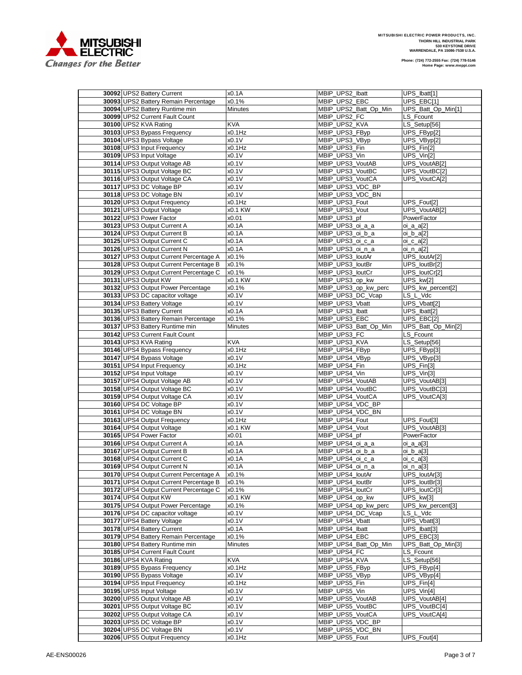

.

| 30092 UPS2 Battery Current                              | x0.1A           | MBIP_UPS2_Ibatt                    | UPS Ibatt[1]                              |
|---------------------------------------------------------|-----------------|------------------------------------|-------------------------------------------|
| 30093 UPS2 Battery Remain Percentage                    | x0.1%           | MBIP_UPS2_EBC                      | UPS_EBC[1]                                |
| 30094 UPS2 Battery Runtime min                          | Minutes         | MBIP_UPS2_Batt_Op_Min              | UPS_Batt_Op_Min[1]                        |
| 30099 UPS2 Current Fault Count                          |                 | MBIP_UPS2_FC                       | LS_Fcount                                 |
| 30100 UPS2 KVA Rating                                   | <b>KVA</b>      | MBIP_UPS2_KVA                      | LS_Setup[56]                              |
| 30103 UPS3 Bypass Frequency                             | x0.1Hz          | MBIP_UPS3_FByp                     | UPS_FByp[2]                               |
| 30104 UPS3 Bypass Voltage                               | x0.1V           | MBIP_UPS3_VByp                     | UPS_VByp[2]                               |
|                                                         |                 |                                    |                                           |
| 30108 UPS3 Input Frequency                              | x0.1Hz          | MBIP UPS3 Fin                      | UPS_Fin[2]                                |
| 30109 UPS3 Input Voltage                                | x0.1V           | MBIP UPS3 Vin                      | UPS Vin[2]                                |
| 30114 UPS3 Output Voltage AB                            | x0.1V           | MBIP_UPS3_VoutAB                   | UPS_VoutAB[2]                             |
| 30115 UPS3 Output Voltage BC                            | x0.1V           | MBIP UPS3 VoutBC                   | UPS_VoutBC[2]                             |
| 30116 UPS3 Output Voltage CA                            | x0.1V           | MBIP_UPS3_VoutCA                   | UPS VoutCA[2]                             |
| 30117 UPS3 DC Voltage BP                                | x0.1V           | MBIP UPS3 VDC BP                   |                                           |
| 30118 UPS3 DC Voltage BN                                | x0.1V           | MBIP_UPS3_VDC_BN                   |                                           |
| 30120 UPS3 Output Frequency                             | x0.1Hz          | MBIP_UPS3_Fout                     | UPS_Fout[2]                               |
| 30121 UPS3 Output Voltage                               | x0.1 KW         | MBIP_UPS3_Vout                     | UPS_VoutAB[2]                             |
| 30122 UPS3 Power Factor                                 | x0.01           | MBIP_UPS3_pf                       | PowerFactor                               |
|                                                         |                 |                                    |                                           |
| 30123 UPS3 Output Current A                             | x0.1A           | MBIP_UPS3_oi_a_a                   | oi_a_a[2]                                 |
| 30124 UPS3 Output Current B                             | x0.1A           | MBIP_UPS3_oi_b_a                   | oi_b_a[2]                                 |
| 30125 UPS3 Output Current C                             | x0.1A           | MBIP_UPS3_oi_c_a                   | $oi_c_a[2]$                               |
| 30126 UPS3 Output Current N                             | x0.1A           | MBIP_UPS3_oi_n_a                   | $oi_n_a[2]$                               |
| 30127 UPS3 Output Current Percentage A                  | x0.1%           | MBIP_UPS3_loutAr                   | UPS_loutAr[2]                             |
| 30128 UPS3 Output Current Percentage B                  | x0.1%           | MBIP_UPS3_loutBr                   | UPS loutBr[2]                             |
| 30129 UPS3 Output Current Percentage C                  | x0.1%           | MBIP_UPS3_loutCr                   | UPS_loutCr[2]                             |
| 30131 UPS3 Output KW                                    | x0.1 KW         | MBIP_UPS3_op_kw                    | UPS_kw[2]                                 |
| 30132 UPS3 Output Power Percentage                      | x0.1%           | MBIP UPS3 op kw perc               | UPS_kw_percent[2]                         |
| 30133 UPS3 DC capacitor voltage                         |                 |                                    |                                           |
|                                                         | x0.1V           | MBIP_UPS3_DC_Vcap                  | LS_L_Vdc                                  |
| 30134 UPS3 Battery Voltage                              | x0.1V           | MBIP_UPS3_Vbatt                    | UPS_Vbatt[2]                              |
| 30135 UPS3 Battery Current                              | x0.1A           | MBIP UPS3 Ibatt                    | UPS_Ibatt[2]                              |
| 30136 UPS3 Battery Remain Percentage                    | x0.1%           | MBIP UPS3 EBC                      | UPS_EBC[2]                                |
| 30137 UPS3 Battery Runtime min                          | Minutes         | MBIP_UPS3_Batt_Op_Min              | UPS_Batt_Op_Min[2]                        |
| 30142 UPS3 Current Fault Count                          |                 | MBIP_UPS3_FC                       | LS_Fcount                                 |
| 30143 UPS3 KVA Rating                                   | <b>KVA</b>      | MBIP UPS3 KVA                      | LS_Setup[56]                              |
| 30146 UPS4 Bypass Frequency                             | x0.1Hz          | MBIP_UPS4_FByp                     | UPS_FByp[3]                               |
| 30147 UPS4 Bypass Voltage                               | x0.1V           | MBIP_UPS4_VByp                     | UPS_VByp[3]                               |
| 30151 UPS4 Input Frequency                              | x0.1Hz          | MBIP_UPS4_Fin                      | $\overline{UPS_F}$ in[3]                  |
|                                                         |                 |                                    | $\overline{UPS_{N}}$ $\overline{V}$ in[3] |
| 30152 UPS4 Input Voltage                                | x0.1V           | MBIP_UPS4_Vin                      |                                           |
| 30157 UPS4 Output Voltage AB                            | x0.1V           | MBIP_UPS4_VoutAB                   | UPS_VoutAB[3]                             |
| 30158 UPS4 Output Voltage BC                            | x0.1V           | MBIP_UPS4_VoutBC                   | UPS_VoutBC[3]                             |
| 30159 UPS4 Output Voltage CA                            | x0.1V           | MBIP UPS4 VoutCA                   | UPS_VoutCA[3]                             |
| 30160 UPS4 DC Voltage BP                                | x0.1V           | MBIP_UPS4_VDC_BP                   |                                           |
| 30161 UPS4 DC Voltage BN                                | x0.1V           | MBIP_UPS4_VDC_BN                   |                                           |
| 30163 UPS4 Output Frequency                             | x0.1Hz          | MBIP UPS4 Fout                     | UPS_Fout[3]                               |
| 30164 UPS4 Output Voltage                               | x0.1 KW         | MBIP_UPS4_Vout                     | UPS VoutAB[3]                             |
|                                                         |                 |                                    |                                           |
|                                                         |                 |                                    |                                           |
| 30165 UPS4 Power Factor                                 | x0.01           | MBIP UPS4 pf                       | PowerFactor                               |
| 30166 UPS4 Output Current A                             | x0.1A           | MBIP_UPS4_oi_a_a                   | oi_a_a[3]                                 |
| 30167 UPS4 Output Current B                             | x0.1A           | MBIP_UPS4_oi_b_a                   | oi_b_a[3]                                 |
| 30168 UPS4 Output Current C                             | x0.1A           | MBIP_UPS4_oi_c_a                   | $oi_c_a[3]$                               |
| 30169 UPS4 Output Current N                             | x0.1A           | MBIP UPS4 oi n a                   | oi_n_a[3]                                 |
| 30170 UPS4 Output Current Percentage A                  | x0.1%           | MBIP_UPS4_loutAr                   | UPS_loutAr[3]                             |
| 30171 UPS4 Output Current Percentage B                  | x0.1%           | MBIP UPS4 loutBr                   | UPS_loutBr[3]                             |
| 30172 UPS4 Output Current Percentage C                  | x0.1%           | MBIP_UPS4_loutCr                   | UPS_loutCr[3]                             |
| 30174 UPS4 Output KW                                    | x0.1 KW         | MBIP UPS4 op kw                    | UPS_kw[3]                                 |
| 30175 UPS4 Output Power Percentage                      | x0.1%           | MBIP_UPS4_op_kw_perc               | UPS_kw_percent[3]                         |
| 30176 UPS4 DC capacitor voltage                         | x0.1V           |                                    | LS L Vdc                                  |
|                                                         |                 | MBIP_UPS4_DC_Vcap                  |                                           |
| 30177 UPS4 Battery Voltage                              | x0.1V           | MBIP UPS4 Vbatt                    | UPS_Vbatt[3]                              |
| 30178 UPS4 Battery Current                              | x0.1A           | MBIP_UPS4_Ibatt                    | UPS_Ibatt[3]                              |
| 30179 UPS4 Battery Remain Percentage                    | x0.1%           | MBIP_UPS4_EBC                      | UPS_EBC[3]                                |
| 30180 UPS4 Battery Runtime min                          | Minutes         | MBIP_UPS4_Batt_Op_Min              | UPS_Batt_Op_Min[3]                        |
| 30185 UPS4 Current Fault Count                          |                 | MBIP UPS4 FC                       | LS_Fcount                                 |
| 30186 UPS4 KVA Rating                                   | KVA             | MBIP UPS4 KVA                      | LS_Setup[56]                              |
| 30189 UPS5 Bypass Frequency                             | x0.1Hz          | MBIP UPS5 FByp                     | UPS FByp[4]                               |
| 30190 UPS5 Bypass Voltage                               | x0.1V           | MBIP_UPS5_VByp                     | UPS_VByp[4]                               |
|                                                         |                 |                                    |                                           |
| 30194 UPS5 Input Frequency                              | x0.1Hz          | MBIP UPS5 Fin                      | UPS_Fin[4]                                |
| 30195 UPS5 Input Voltage                                | x0.1V           | MBIP_UPS5_Vin                      | UPS_Vin[4]                                |
| 30200 UPS5 Output Voltage AB                            | x0.1V           | MBIP_UPS5_VoutAB                   | UPS_VoutAB[4]                             |
| 30201 UPS5 Output Voltage BC                            | x0.1V           | MBIP UPS5 VoutBC                   | UPS_VoutBC[4]                             |
| 30202 UPS5 Output Voltage CA                            | x0.1V           | MBIP_UPS5_VoutCA                   | UPS_VoutCA[4]                             |
| 30203 UPS5 DC Voltage BP                                | x0.1V           | MBIP_UPS5_VDC_BP                   |                                           |
| 30204 UPS5 DC Voltage BN<br>30206 UPS5 Output Frequency | x0.1V<br>x0.1Hz | MBIP_UPS5_VDC_BN<br>MBIP_UPS5_Fout | UPS_Fout[4]                               |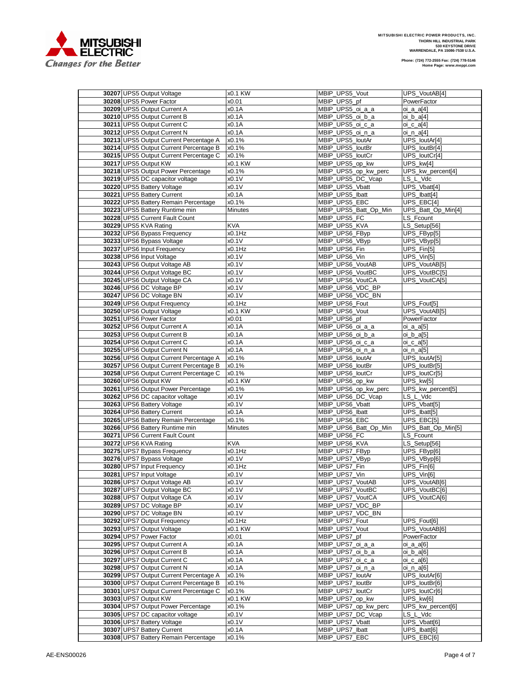

.

| 30207 UPS5 Output Voltage                                          | x0.1 KW        | MBIP_UPS5_Vout                       | UPS VoutAB[4]               |
|--------------------------------------------------------------------|----------------|--------------------------------------|-----------------------------|
| 30208 UPS5 Power Factor                                            | x0.01          | MBIP_UPS5_pf                         | PowerFactor                 |
| 30209 UPS5 Output Current A                                        | x0.1A          | MBIP_UPS5_oi_a_a                     | oi_a_a[4]                   |
| 30210 UPS5 Output Current B                                        | x0.1A          | MBIP_UPS5_oi_b_a                     | oi_b_a[4]                   |
| 30211 UPS5 Output Current C                                        | x0.1A          | MBIP_UPS5_oi_c_a                     | oi_c_a[4]                   |
| 30212 UPS5 Output Current N                                        | x0.1A          | MBIP_UPS5_oi_n_a                     | oi_n_a[4]                   |
| 30213 UPS5 Output Current Percentage A                             | x0.1%          | MBIP_UPS5_loutAr                     | UPS_loutAr[4]               |
| 30214 UPS5 Output Current Percentage B                             | x0.1%          | MBIP_UPS5_loutBr                     | UPS_loutBr[4]               |
| 30215 UPS5 Output Current Percentage C                             | x0.1%          | MBIP_UPS5_loutCr                     | UPS_loutCr[4]               |
| 30217 UPS5 Output KW                                               | x0.1 KW        | MBIP_UPS5_op_kw                      | UPS_kw[4]                   |
| 30218 UPS5 Output Power Percentage                                 |                | MBIP_UPS5_op_kw_perc                 |                             |
|                                                                    | x0.1%          |                                      | UPS_kw_percent[4]           |
| 30219 UPS5 DC capacitor voltage                                    | x0.1V          | MBIP UPS5 DC Vcap                    | LS L Vdc                    |
| 30220 UPS5 Battery Voltage                                         | x0.1V          | MBIP_UPS5_Vbatt                      | UPS_Vbatt[4]                |
| 30221 UPS5 Battery Current                                         | x0.1A          | MBIP UPS5 Ibatt                      | UPS_Ibatt[4]                |
| 30222 UPS5 Battery Remain Percentage                               | x0.1%          | MBIP_UPS5_EBC                        | $UPS$ $EBC[4]$              |
| 30223 UPS5 Battery Runtime min                                     | <b>Minutes</b> | MBIP UPS5 Batt Op Min                | UPS_Batt_Op_Min[4]          |
| 30228 UPS5 Current Fault Count                                     |                | MBIP_UPS5_FC                         | LS Fcount                   |
| 30229 UPS5 KVA Rating                                              | <b>KVA</b>     | MBIP_UPS5_KVA                        | LS_Setup[56]                |
| 30232 UPS6 Bypass Frequency                                        | x0.1Hz         | MBIP_UPS6_FByp                       | UPS_FByp[5]                 |
| 30233 UPS6 Bypass Voltage                                          | x0.1V          | MBIP_UPS6_VByp                       | UPS_VByp[5]                 |
| 30237 UPS6 Input Frequency                                         | x0.1Hz         | MBIP_UPS6_Fin                        | $\overline{UPS_F}$ in[5]    |
| 30238 UPS6 Input Voltage                                           | x0.1V          | MBIP_UPS6_Vin                        | $UPS_V$ in[5]               |
| 30243 UPS6 Output Voltage AB                                       | x0.1V          | MBIP UPS6 VoutAB                     | UPS_VoutAB[5]               |
| 30244 UPS6 Output Voltage BC                                       | x0.1V          | MBIP_UPS6_VoutBC                     | UPS_VoutBC[5]               |
| 30245 UPS6 Output Voltage CA                                       | x0.1V          | MBIP_UPS6_VoutCA                     | <b>UPS VoutCA[5]</b>        |
|                                                                    |                |                                      |                             |
| 30246 UPS6 DC Voltage BP                                           | x0.1V          | MBIP_UPS6_VDC_BP<br>MBIP_UPS6_VDC_BN |                             |
| 30247 UPS6 DC Voltage BN                                           | x0.1V          |                                      |                             |
| 30249 UPS6 Output Frequency                                        | x0.1Hz         | MBIP UPS6 Fout                       | UPS_Fout[5]                 |
| 30250 UPS6 Output Voltage                                          | x0.1 KW        | MBIP_UPS6_Vout                       | UPS_VoutAB[5]               |
| 30251 UPS6 Power Factor                                            | x0.01          | MBIP_UPS6_pf                         | PowerFactor                 |
| 30252 UPS6 Output Current A                                        | x0.1A          | MBIP_UPS6_oi_a_a                     | oi_a_a[5]                   |
| 30253 UPS6 Output Current B                                        | x0.1A          | MBIP_UPS6_oi_b_a                     | oi_b_a[5]                   |
| 30254 UPS6 Output Current C                                        | x0.1A          | MBIP_UPS6_oi_c_a                     | oi_c_a[5]                   |
| 30255 UPS6 Output Current N                                        | x0.1A          | MBIP_UPS6_oi_n_a                     | oi_n_a[5]                   |
| 30256 UPS6 Output Current Percentage A                             | x0.1%          | MBIP_UPS6_loutAr                     | UPS_loutAr[5]               |
| 30257 UPS6 Output Current Percentage B                             | x0.1%          | MBIP_UPS6_loutBr                     | UPS_loutBr[5]               |
| 30258 UPS6 Output Current Percentage C                             | x0.1%          | MBIP_UPS6_loutCr                     | UPS_loutCr[5]               |
| 30260 UPS6 Output KW                                               | x0.1 KW        | MBIP_UPS6_op_kw                      | $\overline{UPS_{k}}$ [5]    |
| 30261 UPS6 Output Power Percentage                                 | x0.1%          | MBIP_UPS6_op_kw_perc                 | UPS_kw_percent[5]           |
| 30262 UPS6 DC capacitor voltage                                    | x0.1V          | MBIP_UPS6_DC_Vcap                    | LS L Vdc                    |
| 30263 UPS6 Battery Voltage                                         | x0.1V          | MBIP_UPS6_Vbatt                      | UPS_Vbatt[5]                |
| 30264 UPS6 Battery Current                                         | x0.1A          | MBIP_UPS6_Ibatt                      | UPS_lbatt[5]                |
| 30265 UPS6 Battery Remain Percentage                               |                |                                      |                             |
|                                                                    | x0.1%          | MBIP_UPS6_EBC                        | UPS EBC[5]                  |
|                                                                    |                |                                      |                             |
| 30266 UPS6 Battery Runtime min                                     | Minutes        | MBIP_UPS6_Batt_Op_Min                | UPS_Batt_Op_Min[5]          |
| 30271 UPS6 Current Fault Count                                     |                | MBIP UPS6 FC                         | LS_Fcount                   |
| 30272 UPS6 KVA Rating                                              | <b>KVA</b>     | MBIP_UPS6_KVA                        | LS_Setup[56]                |
| 30275 UPS7 Bypass Frequency                                        | x0.1Hz         | MBIP_UPS7_FByp                       | UPS_FByp[6]                 |
| 30276 UPS7 Bypass Voltage                                          | x0.1V          | MBIP_UPS7_VByp                       | UPS_VByp[6]                 |
| 30280 UPS7 Input Frequency                                         | x0.1Hz         | MBIP UPS7 Fin                        | UPS_Fin[6]                  |
| 30281 UPS7 Input Voltage                                           | x0.1V          | MBIP_UPS7_Vin                        | UPS_Vin[6]                  |
| 30286 UPS7 Output Voltage AB                                       | x0.1V          | MBIP UPS7 VoutAB                     | UPS VoutAB[6]               |
| 30287 UPS7 Output Voltage BC                                       | x0.1V          | MBIP UPS7 VoutBC                     | UPS_VoutBC[6]               |
| 30288 UPS7 Output Voltage CA                                       | x0.1V          | MBIP_UPS7_VoutCA                     | UPS_VoutCA[6]               |
| 30289 UPS7 DC Voltage BP                                           | x0.1V          | MBIP_UPS7_VDC_BP                     |                             |
| 30290 UPS7 DC Voltage BN                                           | x0.1V          | MBIP_UPS7_VDC_BN                     |                             |
| 30292 UPS7 Output Frequency                                        | x0.1Hz         | MBIP UPS7 Fout                       | UPS_Fout[6]                 |
|                                                                    | x0.1 KW        |                                      | UPS VoutAB[6]               |
| 30293 UPS7 Output Voltage                                          |                | MBIP_UPS7_Vout                       |                             |
| 30294 UPS7 Power Factor                                            | x0.01          | MBIP_UPS7_pf                         | PowerFactor                 |
| 30295 UPS7 Output Current A                                        | x0.1A          | MBIP UPS7 oi a a                     | oi_a_a[6]                   |
| 30296 UPS7 Output Current B                                        | x0.1A          | MBIP_UPS7_oi_b_a                     | oi_b_a[6]                   |
| 30297 UPS7 Output Current C                                        | x0.1A          | MBIP UPS7 oi c a                     | $\overline{oi}$ _ $c$ _a[6] |
| 30298 UPS7 Output Current N                                        | x0.1A          | MBIP_UPS7_oi_n_a                     | oi_n_a[6]                   |
| 30299 UPS7 Output Current Percentage A                             | x0.1%          | MBIP_UPS7_loutAr                     | UPS_loutAr[6]               |
| 30300 UPS7 Output Current Percentage B                             | x0.1%          | MBIP UPS7 loutBr                     | UPS_loutBr[6]               |
| 30301 UPS7 Output Current Percentage C                             | x0.1%          | MBIP_UPS7_loutCr                     | UPS_loutCr[6]               |
| 30303 UPS7 Output KW                                               | x0.1 KW        | MBIP_UPS7_op_kw                      | UPS_kw[6]                   |
| 30304 UPS7 Output Power Percentage                                 | x0.1%          | MBIP_UPS7_op_kw_perc                 | UPS_kw_percent[6]           |
| 30305 UPS7 DC capacitor voltage                                    | x0.1V          | MBIP_UPS7_DC_Vcap                    | LS L Vdc                    |
| 30306 UPS7 Battery Voltage                                         | x0.1V          | MBIP_UPS7_Vbatt                      | UPS_Vbatt[6]                |
| 30307 UPS7 Battery Current<br>30308 UPS7 Battery Remain Percentage | x0.1A<br>x0.1% | MBIP_UPS7_lbatt<br>MBIP_UPS7_EBC     | UPS Ibatt[6]<br>UPS_EBC[6]  |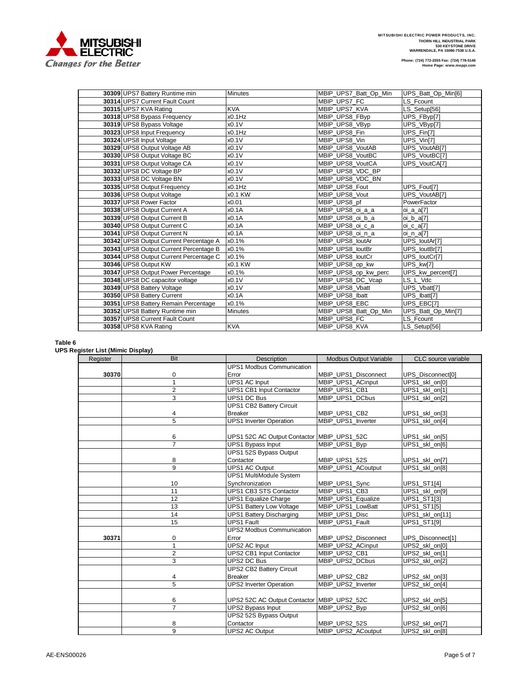

| 30309 UPS7 Battery Runtime min         | <b>Minutes</b> | MBIP_UPS7_Batt_Op_Min | UPS_Batt_Op_Min[6] |
|----------------------------------------|----------------|-----------------------|--------------------|
| 30314 UPS7 Current Fault Count         |                | MBIP UPS7 FC          | LS Fcount          |
| 30315 UPS7 KVA Rating                  | <b>KVA</b>     | MBIP UPS7 KVA         | LS_Setup[56]       |
| 30318 UPS8 Bypass Frequency            | x0.1Hz         | MBIP_UPS8_FByp        | UPS_FByp[7]        |
| 30319 UPS8 Bypass Voltage              | x0.1V          | MBIP UPS8 VByp        | UPS_VByp[7]        |
| 30323 UPS8 Input Frequency             | x0.1Hz         | MBIP UPS8 Fin         | UPS Fin[7]         |
| 30324 UPS8 Input Voltage               | x0.1V          | MBIP UPS8 Vin         | UPS_Vin[7]         |
| 30329 UPS8 Output Voltage AB           | x0.1V          | MBIP UPS8 VoutAB      | UPS_VoutAB[7]      |
| 30330 UPS8 Output Voltage BC           | x0.1V          | MBIP UPS8 VoutBC      | UPS_VoutBC[7]      |
| 30331 UPS8 Output Voltage CA           | x0.1V          | MBIP UPS8 VoutCA      | UPS_VoutCA[7]      |
| 30332 UPS8 DC Voltage BP               | x0.1V          | MBIP UPS8 VDC BP      |                    |
| 30333 UPS8 DC Voltage BN               | x0.1V          | MBIP_UPS8_VDC_BN      |                    |
| 30335 UPS8 Output Frequency            | $x0.1$ Hz      | MBIP UPS8 Fout        | UPS_Fout[7]        |
| 30336 UPS8 Output Voltage              | x0.1 KW        | MBIP UPS8 Vout        | UPS_VoutAB[7]      |
| 30337 UPS8 Power Factor                | x0.01          | MBIP UPS8 pf          | PowerFactor        |
| 30338 UPS8 Output Current A            | x0.1A          | MBIP_UPS8_oi_a_a      | oi_a_a[7]          |
| 30339 UPS8 Output Current B            | x0.1A          | MBIP UPS8 oi b a      | oi_b_a[7]          |
| 30340 UPS8 Output Current C            | x0.1A          | MBIP UPS8 oi c a      | $oi_c_a[7]$        |
| 30341 UPS8 Output Current N            | x0.1A          | MBIP UPS8 oi n a      | oi n a[7]          |
| 30342 UPS8 Output Current Percentage A | x0.1%          | MBIP UPS8 loutAr      | UPS_loutAr[7]      |
| 30343 UPS8 Output Current Percentage B | x0.1%          | MBIP UPS8 loutBr      | UPS_loutBr[7]      |
| 30344 UPS8 Output Current Percentage C | x0.1%          | MBIP_UPS8_loutCr      | UPS loutCr[7]      |
| 30346 UPS8 Output KW                   | x0.1 KW        | MBIP UPS8 op kw       | UPS kw[7]          |
| 30347 UPS8 Output Power Percentage     | x0.1%          | MBIP_UPS8_op_kw_perc  | UPS_kw_percent[7]  |
| 30348 UPS8 DC capacitor voltage        | x0.1V          | MBIP UPS8 DC Vcap     | LS L Vdc           |
| 30349 UPS8 Battery Voltage             | x0.1V          | MBIP UPS8 Vbatt       | UPS Vbatt[7]       |
| 30350 UPS8 Battery Current             | x0.1A          | MBIP UPS8 Ibatt       | UPS Ibatt[7]       |
| 30351 UPS8 Battery Remain Percentage   | x0.1%          | MBIP UPS8 EBC         | UPS_EBC[7]         |
| 30352 UPS8 Battery Runtime min         | <b>Minutes</b> | MBIP_UPS8_Batt_Op_Min | UPS_Batt_Op_Min[7] |
| 30357 UPS8 Current Fault Count         |                | MBIP UPS8 FC          | LS Fcount          |
| 30358 UPS8 KVA Rating                  | <b>KVA</b>     | MBIP UPS8 KVA         | LS Setup[56]       |

## **Table 6**

# **UPS Register List (Mimic Display)**

| Register | <b>Bit</b>     | <b>Description</b>                           | <b>Modbus Output Variable</b> | CLC source variable           |
|----------|----------------|----------------------------------------------|-------------------------------|-------------------------------|
|          |                | <b>UPS1 Modbus Communication</b>             |                               |                               |
| 30370    | 0              | Error                                        | MBIP UPS1 Disconnect          | UPS_Disconnect[0]             |
|          | $\mathbf{1}$   | <b>UPS1 AC Input</b>                         | MBIP UPS1 ACinput             | $\overline{UPS1\_skl\_on[0]}$ |
|          | $\overline{2}$ | UPS1 CB1 Input Contactor                     | MBIP UPS1 CB1                 | UPS1_skl_on[1]                |
|          | $\overline{3}$ | UPS1 DC Bus                                  | MBIP UPS1 DCbus               | UPS1_skl_on[2]                |
|          |                | <b>UPS1 CB2 Battery Circuit</b>              |                               |                               |
|          | 4              | <b>Breaker</b>                               | MBIP_UPS1_CB2                 | UPS1_skl_on[3]                |
|          | 5              | <b>UPS1</b> Inverter Operation               | MBIP UPS1 Inverter            | UPS1_skl_on[4]                |
|          |                |                                              |                               |                               |
|          | 6              | UPS1 52C AC Output Contactor   MBIP_UPS1_52C |                               | UPS1_skl_on[5]                |
|          | $\overline{7}$ | <b>UPS1 Bypass Input</b>                     | MBIP UPS1 Byp                 | UPS1 skl on[6]                |
|          |                | UPS1 52S Bypass Output                       |                               |                               |
|          | 8              | Contactor                                    | MBIP_UPS1_52S                 | UPS1_skl_on[7]                |
|          | $\overline{9}$ | <b>UPS1 AC Output</b>                        | MBIP UPS1 ACoutput            | UPS1_skl_on[8]                |
|          |                | <b>UPS1 MultiModule System</b>               |                               |                               |
|          | 10             | Synchronization                              | MBIP UPS1 Sync                | UPS1_ST1[4]                   |
|          | 11             | <b>UPS1 CB3 STS Contactor</b>                | MBIP UPS1 CB3                 | UPS1_skl_on[9]                |
|          | 12             | <b>UPS1 Equalize Charge</b>                  | MBIP UPS1 Equalize            | UPS1_ST1[3]                   |
|          | 13             | <b>UPS1 Battery Low Voltage</b>              | MBIP UPS1 LowBatt             | UPS1_ST1[5]                   |
|          | 14             | <b>UPS1 Battery Discharging</b>              | MBIP UPS1 Disc                | UPS1_skl_on[11]               |
|          | 15             | <b>UPS1 Fault</b>                            | MBIP_UPS1_Fault               | UPS1_ST1[9]                   |
|          |                | <b>UPS2 Modbus Communication</b>             |                               |                               |
| 30371    | 0              | Error                                        | MBIP_UPS2_Disconnect          | UPS_Disconnect[1]             |
|          | $\mathbf{1}$   | UPS2 AC Input                                | MBIP_UPS2_ACinput             | UPS2_skl_on[0]                |
|          | $\overline{2}$ | UPS2 CB1 Input Contactor                     | MBIP_UPS2_CB1                 | UPS2_skl_on[1]                |
|          | 3              | UPS2 DC Bus                                  | MBIP UPS2 DCbus               | UPS2_skl_on[2]                |
|          |                | UPS2 CB2 Battery Circuit                     |                               |                               |
|          | 4              | <b>Breaker</b>                               | MBIP_UPS2_CB2                 | UPS2_skl_on[3]                |
|          | 5              | <b>UPS2 Inverter Operation</b>               | MBIP UPS2 Inverter            | UPS2 skl on[4]                |
|          |                |                                              |                               |                               |
|          | 6              | UPS2 52C AC Output Contactor MBIP_UPS2_52C   |                               | UPS2_skl_on[5]                |
|          | $\overline{7}$ | <b>UPS2 Bypass Input</b>                     | MBIP_UPS2_Byp                 | UPS2_skl_on[6]                |
|          |                | UPS2 52S Bypass Output                       |                               |                               |
|          | 8              | Contactor                                    | MBIP_UPS2_52S                 | UPS2_skl_on[7]                |
|          | $\overline{9}$ | <b>UPS2 AC Output</b>                        | MBIP UPS2 ACoutput            | UPS2 skl on[8]                |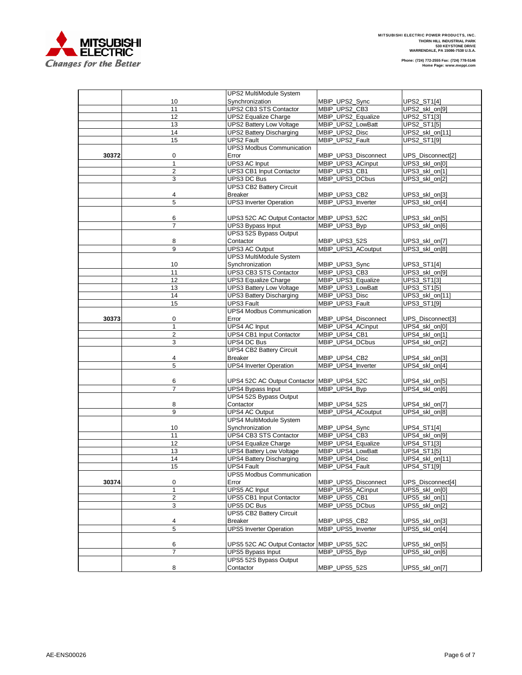

|       |                   | UPS2 MultiModule System                        |                                           |                                     |
|-------|-------------------|------------------------------------------------|-------------------------------------------|-------------------------------------|
|       | 10                | Synchronization                                | MBIP_UPS2_Sync                            | UPS2_ST1[4]                         |
|       | 11                | UPS2 CB3 STS Contactor                         | MBIP_UPS2_CB3                             | UPS2_skl_on[9]                      |
|       | 12                | <b>UPS2 Equalize Charge</b>                    | MBIP_UPS2_Equalize                        | UPS2_ST1[3]                         |
|       | 13                | <b>UPS2 Battery Low Voltage</b>                | MBIP_UPS2_LowBatt                         | UPS2_ST1[5]                         |
|       | 14                | <b>UPS2 Battery Discharging</b>                | MBIP_UPS2_Disc                            | UPS2_skl_on[11]                     |
|       | 15                | <b>UPS2 Fault</b>                              | MBIP_UPS2_Fault                           | UPS2_ST1[9]                         |
|       |                   | <b>UPS3 Modbus Communication</b>               |                                           |                                     |
| 30372 | 0                 | Error                                          | MBIP_UPS3_Disconnect                      | UPS_Disconnect[2]                   |
|       | $\mathbf{1}$      | <b>UPS3 AC Input</b>                           | MBIP_UPS3_ACinput                         | UPS3_skl_on[0]                      |
|       | $\overline{2}$    | <b>UPS3 CB1 Input Contactor</b>                | MBIP UPS3 CB1                             | UPS3_skl_on[1]                      |
|       | 3                 | <b>UPS3 DC Bus</b>                             | MBIP_UPS3_DCbus                           | UPS3_skl_on[2]                      |
|       |                   | <b>UPS3 CB2 Battery Circuit</b>                |                                           |                                     |
|       | 4                 | <b>Breaker</b>                                 | MBIP_UPS3_CB2                             | UPS3_skl_on[3]                      |
|       | 5                 | <b>UPS3</b> Inverter Operation                 | MBIP UPS3 Inverter                        | UPS3_skl_on[4]                      |
|       |                   |                                                |                                           |                                     |
|       | 6                 | UPS3 52C AC Output Contactor MBIP_UPS3_52C     |                                           | UPS3_skl_on[5]                      |
|       | $\overline{7}$    | <b>UPS3 Bypass Input</b>                       | MBIP_UPS3_Byp                             | UPS3_skl_on[6]                      |
|       |                   | UPS3 52S Bypass Output                         |                                           |                                     |
|       | 8                 | Contactor                                      | MBIP_UPS3_52S                             | UPS3_skl_on[7]                      |
|       | 9                 | <b>UPS3 AC Output</b>                          | MBIP_UPS3_ACoutput                        | UPS3_skl_on[8]                      |
|       |                   | <b>UPS3 MultiModule System</b>                 |                                           |                                     |
|       | 10                | Synchronization                                | MBIP_UPS3_Sync                            | UPS3_ST1[4]                         |
|       | 11                | UPS3 CB3 STS Contactor                         | MBIP_UPS3_CB3                             | UPS3_skl_on[9]                      |
|       | 12                | <b>UPS3 Equalize Charge</b>                    | MBIP_UPS3_Equalize                        | UPS3_ST1[3]                         |
|       | 13                | <b>UPS3 Battery Low Voltage</b>                | MBIP_UPS3_LowBatt                         | UPS3_ST1[5]                         |
|       | 14                | <b>UPS3 Battery Discharging</b>                | MBIP_UPS3_Disc                            | UPS3_skl_on[11]                     |
|       | 15                | <b>UPS3 Fault</b>                              | MBIP_UPS3_Fault                           | UPS3_ST1[9]                         |
|       |                   | <b>UPS4 Modbus Communication</b>               |                                           |                                     |
|       |                   | Error                                          |                                           |                                     |
| 30373 | 0<br>$\mathbf{1}$ | <b>UPS4 AC Input</b>                           | MBIP_UPS4_Disconnect<br>MBIP_UPS4_ACinput | UPS_Disconnect[3]<br>UPS4_skl_on[0] |
|       | $\overline{c}$    | UPS4 CB1 Input Contactor                       | MBIP UPS4 CB1                             |                                     |
|       |                   |                                                |                                           | UPS4_skl_on[1]                      |
|       | 3                 | UPS4 DC Bus<br><b>UPS4 CB2 Battery Circuit</b> | MBIP UPS4 DCbus                           | UPS4_skl_on[2]                      |
|       |                   | <b>Breaker</b>                                 |                                           |                                     |
|       | 4<br>5            | <b>UPS4 Inverter Operation</b>                 | MBIP_UPS4_CB2<br>MBIP UPS4 Inverter       | UPS4_skl_on[3]<br>UPS4_skl_on[4]    |
|       |                   |                                                |                                           |                                     |
|       | 6                 | UPS4 52C AC Output Contactor MBIP_UPS4_52C     |                                           |                                     |
|       | $\overline{7}$    |                                                | MBIP_UPS4_Byp                             | UPS4_skl_on[5]<br>UPS4_skl_on[6]    |
|       |                   | UPS4 Bypass Input<br>UPS4 52S Bypass Output    |                                           |                                     |
|       | 8                 | Contactor                                      | MBIP_UPS4_52S                             | UPS4_skl_on[7]                      |
|       | 9                 | UPS4 AC Output                                 | MBIP_UPS4_ACoutput                        | UPS4_skl_on[8]                      |
|       |                   | <b>UPS4 MultiModule System</b>                 |                                           |                                     |
|       |                   | Synchronization                                | MBIP_UPS4_Sync                            |                                     |
|       | 10<br>11          | UPS4 CB3 STS Contactor                         | MBIP UPS4 CB3                             | UPS4_ST1[4]                         |
|       | 12                | <b>UPS4 Equalize Charge</b>                    | MBIP_UPS4_Equalize                        | UPS4_skl_on[9]<br>UPS4_ST1[3]       |
|       | 13                | <b>UPS4 Battery Low Voltage</b>                | MBIP_UPS4_LowBatt                         | UPS4_ST1[5]                         |
|       | 14                | <b>UPS4 Battery Discharging</b>                | MBIP_UPS4_Disc                            | UPS4_skl_on[11]                     |
|       | 15                | <b>UPS4 Fault</b>                              | MBIP_UPS4_Fault                           |                                     |
|       |                   | <b>UPS5 Modbus Communication</b>               |                                           | UPS4_ST1[9]                         |
|       |                   | Error                                          |                                           |                                     |
| 30374 | 0<br>1            | <b>UPS5 AC Input</b>                           | MBIP_UPS5_Disconnect<br>MBIP UPS5 ACinput | UPS_Disconnect[4]                   |
|       |                   | <b>UPS5 CB1 Input Contactor</b>                | MBIP_UPS5_CB1                             | UPS5_skl_on[0]                      |
|       | 2                 |                                                |                                           | UPS5_skl_on[1]                      |
|       | 3                 | UPS5 DC Bus<br><b>UPS5 CB2 Battery Circuit</b> | MBIP UPS5 DCbus                           | UPS5_skl_on[2]                      |
|       |                   |                                                |                                           |                                     |
|       | 4<br>5            | <b>Breaker</b>                                 | MBIP_UPS5_CB2                             | UPS5 skl on[3]                      |
|       |                   | <b>UPS5 Inverter Operation</b>                 | MBIP_UPS5_Inverter                        | UPS5_skl_on[4]                      |
|       |                   |                                                |                                           |                                     |
|       | 6                 | UPS5 52C AC Output Contactor MBIP_UPS5_52C     |                                           | UPS5_skl_on[5]                      |
|       | $\overline{7}$    | <b>UPS5 Bypass Input</b>                       | MBIP_UPS5_Byp                             | UPS5_skl_on[6]                      |
|       |                   | UPS5 52S Bypass Output                         |                                           |                                     |
|       | 8                 | Contactor                                      | MBIP_UPS5_52S                             | UPS5_skl_on[7]                      |